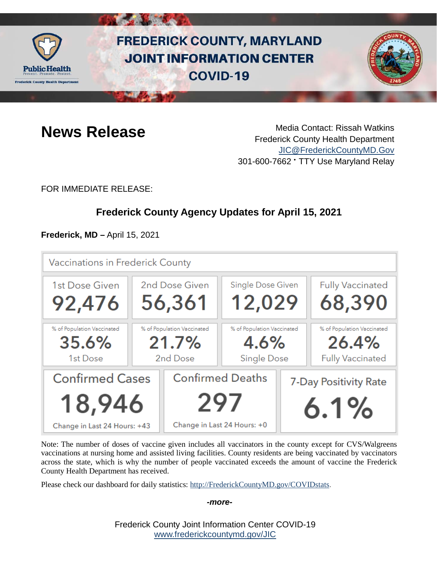

# **FREDERICK COUNTY, MARYLAND JOINT INFORMATION CENTER COVID-19**



**News Release** Media Contact: Rissah Watkins Frederick County Health Department [JIC@FrederickCountyMD.Gov](mailto:JIC@FrederickCountyMD.Gov) 301-600-7662 • TTY Use Maryland Relay

FOR IMMEDIATE RELEASE:

# **Frederick County Agency Updates for April 15, 2021**

**Frederick, MD –** April 15, 2021

| Vaccinations in Frederick County                                 |                            |                                                               |                            |                               |                            |
|------------------------------------------------------------------|----------------------------|---------------------------------------------------------------|----------------------------|-------------------------------|----------------------------|
| 1st Dose Given                                                   | 2nd Dose Given             |                                                               | Single Dose Given          |                               | <b>Fully Vaccinated</b>    |
| 92,476                                                           | 56,361                     |                                                               | 12,029                     |                               | 68,390                     |
| % of Population Vaccinated                                       | % of Population Vaccinated |                                                               | % of Population Vaccinated |                               | % of Population Vaccinated |
| 35.6%                                                            | 21.7%                      |                                                               | 4.6%                       |                               | 26.4%                      |
| 1st Dose                                                         | 2nd Dose                   |                                                               | <b>Single Dose</b>         |                               | <b>Fully Vaccinated</b>    |
| <b>Confirmed Cases</b><br>18,946<br>Change in Last 24 Hours: +43 |                            | <b>Confirmed Deaths</b><br>297<br>Change in Last 24 Hours: +0 |                            | 7-Day Positivity Rate<br>6.1% |                            |

Note: The number of doses of vaccine given includes all vaccinators in the county except for CVS/Walgreens vaccinations at nursing home and assisted living facilities. County residents are being vaccinated by vaccinators across the state, which is why the number of people vaccinated exceeds the amount of vaccine the Frederick County Health Department has received.

Please check our dashboard for daily statistics: [http://FrederickCountyMD.gov/COVIDstats.](http://frederickcountymd.gov/COVIDstats)

*-more-*

Frederick County Joint Information Center COVID-19 [www.frederickcountymd.gov/JIC](https://frederickcountymd.gov/JIC)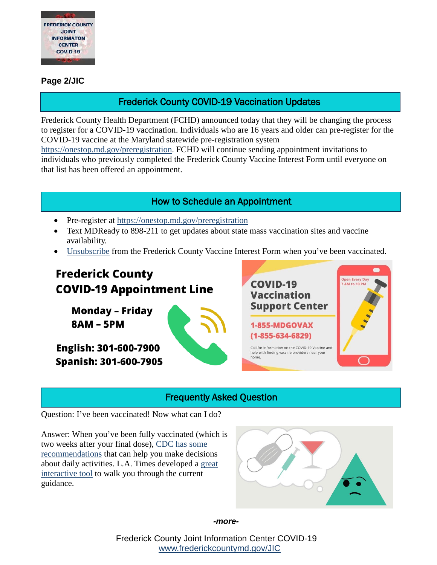

#### **Page 2/JIC**

### Frederick County COVID-19 Vaccination Updates

Frederick County Health Department (FCHD) announced today that they will be changing the process to register for a COVID-19 vaccination. Individuals who are 16 years and older can pre-register for the COVID-19 vaccine at the Maryland statewide pre-registration system

[https://onestop.md.gov/preregistration.](https://onestop.md.gov/preregistration) FCHD will continue sending appointment invitations to individuals who previously completed the Frederick County Vaccine Interest Form until everyone on that list has been offered an appointment.

### How to Schedule an Appointment

- Pre-register at<https://onestop.md.gov/preregistration>
- Text MDReady to 898-211 to get updates about state mass vaccination sites and vaccine availability.
- [Unsubscribe](https://ww3.frederickcountymd.gov/VaccineInterestUnsubscribe) from the Frederick County Vaccine Interest Form when you've been vaccinated.

# **Frederick County COVID-19 Appointment Line**

**Monday - Friday 8AM - 5PM** 

English: 301-600-7900 **Spanish: 301-600-7905** 



### Frequently Asked Question

Question: I've been vaccinated! Now what can I do?

Answer: When you've been fully vaccinated (which is two weeks after your final dose), [CDC has some](https://www.cdc.gov/coronavirus/2019-ncov/vaccines/fully-vaccinated.html)  [recommendations](https://www.cdc.gov/coronavirus/2019-ncov/vaccines/fully-vaccinated.html) that can help you make decisions about daily activities. L.A. Times developed a [great](https://www.latimes.com/projects/covid-19-vaccine-timeline-first-second-dose-dos-donts/)  [interactive tool](https://www.latimes.com/projects/covid-19-vaccine-timeline-first-second-dose-dos-donts/) to walk you through the current guidance.



*-more-*

Frederick County Joint Information Center COVID-19 [www.frederickcountymd.gov/JIC](https://frederickcountymd.gov/JIC)